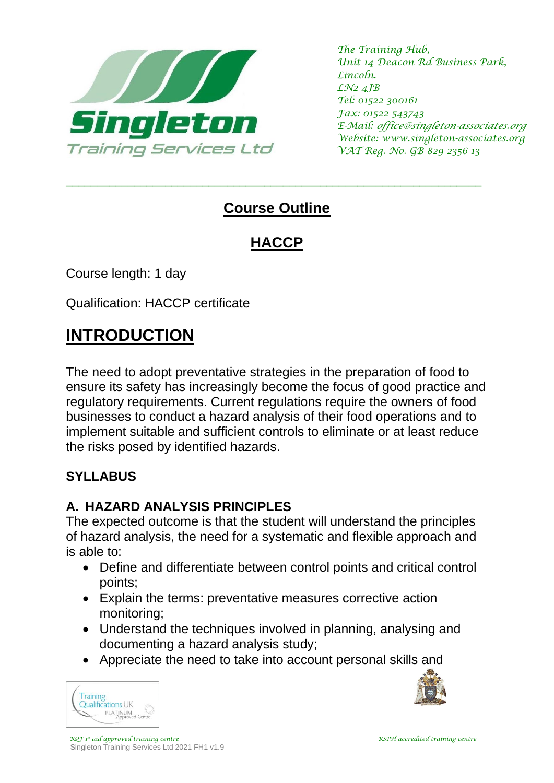

*The Training Hub, Unit 14 Deacon Rd Business Park, Lincoln. LN2 4JB Tel: 01522 300161 Fax: 01522 543743 E-Mail: office@singleton-associates.org Website: www.singleton-associates.org VAT Reg. No. GB 829 2356 13*

## **Course Outline**

\_\_\_\_\_\_\_\_\_\_\_\_\_\_\_\_\_\_\_\_\_\_\_\_\_\_\_\_\_\_\_\_\_\_\_\_\_\_\_\_\_\_\_\_\_\_\_\_\_\_\_\_\_\_\_\_\_\_\_\_\_\_\_\_\_\_\_

# **HACCP**

Course length: 1 day

Qualification: HACCP certificate

# **INTRODUCTION**

The need to adopt preventative strategies in the preparation of food to ensure its safety has increasingly become the focus of good practice and regulatory requirements. Current regulations require the owners of food businesses to conduct a hazard analysis of their food operations and to implement suitable and sufficient controls to eliminate or at least reduce the risks posed by identified hazards.

### **SYLLABUS**

#### **A. HAZARD ANALYSIS PRINCIPLES**

The expected outcome is that the student will understand the principles of hazard analysis, the need for a systematic and flexible approach and is able to:

- Define and differentiate between control points and critical control points;
- Explain the terms: preventative measures corrective action monitoring;
- Understand the techniques involved in planning, analysing and documenting a hazard analysis study;
- Appreciate the need to take into account personal skills and